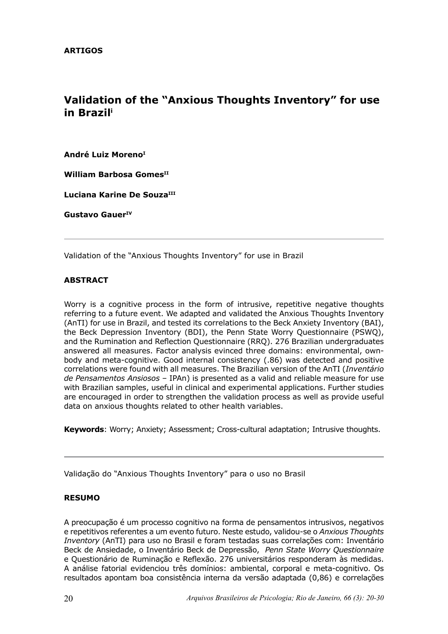# **Validation of the "Anxious Thoughts Inventory" for use in Brazili**

**André Luiz MorenoI**

**William Barbosa Gomes**<sup>II</sup>

Luciana Karine De Souza<sup>III</sup>

**Gustavo GauerIV**

Validation of the "Anxious Thoughts Inventory" for use in Brazil

# **ABSTRACT**

Worry is a cognitive process in the form of intrusive, repetitive negative thoughts referring to a future event. We adapted and validated the Anxious Thoughts Inventory (AnTI) for use in Brazil, and tested its correlations to the Beck Anxiety Inventory (BAI), the Beck Depression Inventory (BDI), the Penn State Worry Questionnaire (PSWQ), and the Rumination and Reflection Questionnaire (RRQ). 276 Brazilian undergraduates answered all measures. Factor analysis evinced three domains: environmental, ownbody and meta-cognitive. Good internal consistency (.86) was detected and positive correlations were found with all measures. The Brazilian version of the AnTI (*Inventário de Pensamentos Ansiosos* – IPAn) is presented as a valid and reliable measure for use with Brazilian samples, useful in clinical and experimental applications. Further studies are encouraged in order to strengthen the validation process as well as provide useful data on anxious thoughts related to other health variables.

**Keywords**: Worry; Anxiety; Assessment; Cross-cultural adaptation; Intrusive thoughts.

Validação do "Anxious Thoughts Inventory" para o uso no Brasil

### **RESUMO**

A preocupação é um processo cognitivo na forma de pensamentos intrusivos, negativos e repetitivos referentes a um evento futuro. Neste estudo, validou-se o *Anxious Thoughts Inventory* (AnTI) para uso no Brasil e foram testadas suas correlações com: Inventário Beck de Ansiedade, o Inventário Beck de Depressão, *Penn State Worry Questionnaire* e Questionário de Ruminação e Reflexão. 276 universitários responderam às medidas. A análise fatorial evidenciou três domínios: ambiental, corporal e meta-cognitivo. Os resultados apontam boa consistência interna da versão adaptada (0,86) e correlações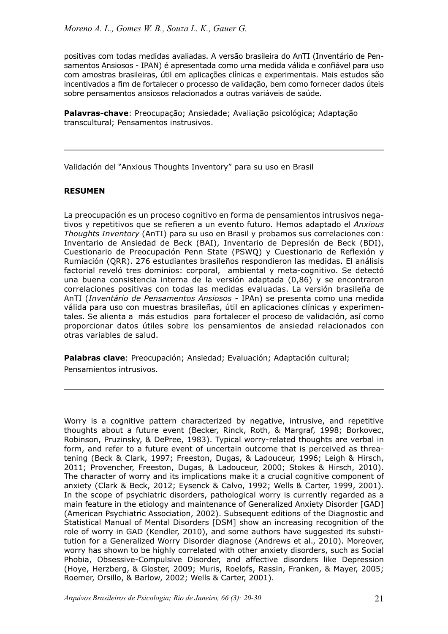positivas com todas medidas avaliadas. A versão brasileira do AnTI (Inventário de Pensamentos Ansiosos - IPAN) é apresentada como uma medida válida e confiável para uso com amostras brasileiras, útil em aplicações clínicas e experimentais. Mais estudos são incentivados a fim de fortalecer o processo de validação, bem como fornecer dados úteis sobre pensamentos ansiosos relacionados a outras variáveis de saúde.

**Palavras-chave**: Preocupação; Ansiedade; Avaliação psicológica; Adaptação transcultural; Pensamentos instrusivos.

Validación del "Anxious Thoughts Inventory" para su uso en Brasil

# **RESUMEN**

La preocupación es un proceso cognitivo en forma de pensamientos intrusivos negativos y repetitivos que se refieren a un evento futuro. Hemos adaptado el *Anxious Thoughts Inventory* (AnTI) para su uso en Brasil y probamos sus correlaciones con: Inventario de Ansiedad de Beck (BAI), Inventario de Depresión de Beck (BDI), Cuestionario de Preocupación Penn State (PSWQ) y Cuestionario de Reflexión y Rumiación (QRR). 276 estudiantes brasileños respondieron las medidas. El análisis factorial reveló tres dominios: corporal, ambiental y meta-cognitivo. Se detectó una buena consistencia interna de la versión adaptada (0,86) y se encontraron correlaciones positivas con todas las medidas evaluadas. La versión brasileña de AnTI (*Inventário de Pensamentos Ansiosos* - IPAn) se presenta como una medida válida para uso con muestras brasileñas, útil en aplicaciones clínicas y experimentales. Se alienta a más estudios para fortalecer el proceso de validación, así como proporcionar datos útiles sobre los pensamientos de ansiedad relacionados con otras variables de salud.

**Palabras clave**: Preocupación; Ansiedad; Evaluación; Adaptación cultural; Pensamientos intrusivos.

Worry is a cognitive pattern characterized by negative, intrusive, and repetitive thoughts about a future event (Becker, Rinck, Roth, & Margraf, 1998; Borkovec, Robinson, Pruzinsky, & DePree, 1983). Typical worry-related thoughts are verbal in form, and refer to a future event of uncertain outcome that is perceived as threatening (Beck & Clark, 1997; Freeston, Dugas, & Ladouceur, 1996; Leigh & Hirsch, 2011; Provencher, Freeston, Dugas, & Ladouceur, 2000; Stokes & Hirsch, 2010). The character of worry and its implications make it a crucial cognitive component of anxiety (Clark & Beck, 2012; Eysenck & Calvo, 1992; Wells & Carter, 1999, 2001). In the scope of psychiatric disorders, pathological worry is currently regarded as a main feature in the etiology and maintenance of Generalized Anxiety Disorder [GAD] (American Psychiatric Association, 2002). Subsequent editions of the Diagnostic and Statistical Manual of Mental Disorders [DSM] show an increasing recognition of the role of worry in GAD (Kendler, 2010), and some authors have suggested its substitution for a Generalized Worry Disorder diagnose (Andrews et al., 2010). Moreover, worry has shown to be highly correlated with other anxiety disorders, such as Social Phobia, Obsessive-Compulsive Disorder, and affective disorders like Depression (Hoye, Herzberg, & Gloster, 2009; Muris, Roelofs, Rassin, Franken, & Mayer, 2005; Roemer, Orsillo, & Barlow, 2002; Wells & Carter, 2001).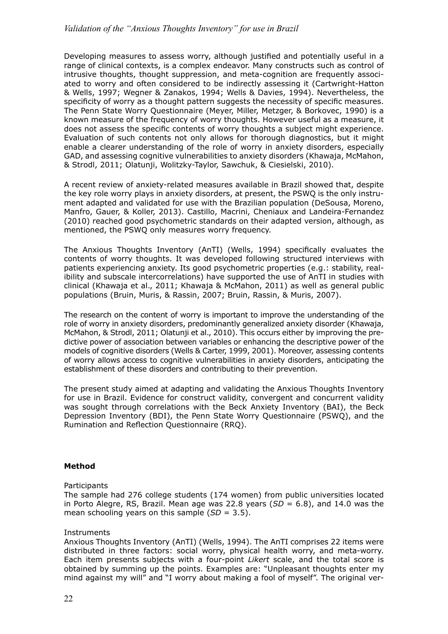Developing measures to assess worry, although justified and potentially useful in a range of clinical contexts, is a complex endeavor. Many constructs such as control of intrusive thoughts, thought suppression, and meta-cognition are frequently associated to worry and often considered to be indirectly assessing it (Cartwright-Hatton & Wells, 1997; Wegner & Zanakos, 1994; Wells & Davies, 1994). Nevertheless, the specificity of worry as a thought pattern suggests the necessity of specific measures. The Penn State Worry Questionnaire (Meyer, Miller, Metzger, & Borkovec, 1990) is a known measure of the frequency of worry thoughts. However useful as a measure, it does not assess the specific contents of worry thoughts a subject might experience. Evaluation of such contents not only allows for thorough diagnostics, but it might enable a clearer understanding of the role of worry in anxiety disorders, especially GAD, and assessing cognitive vulnerabilities to anxiety disorders (Khawaja, McMahon, & Strodl, 2011; Olatunji, Wolitzky-Taylor, Sawchuk, & Ciesielski, 2010).

A recent review of anxiety-related measures available in Brazil showed that, despite the key role worry plays in anxiety disorders, at present, the PSWQ is the only instrument adapted and validated for use with the Brazilian population (DeSousa, Moreno, Manfro, Gauer, & Koller, 2013). Castillo, Macrini, Cheniaux and Landeira-Fernandez (2010) reached good psychometric standards on their adapted version, although, as mentioned, the PSWQ only measures worry frequency.

The Anxious Thoughts Inventory (AnTI) (Wells, 1994) specifically evaluates the contents of worry thoughts. It was developed following structured interviews with patients experiencing anxiety. Its good psychometric properties (e.g.: stability, realibility and subscale intercorrelations) have supported the use of AnTI in studies with clinical (Khawaja et al., 2011; Khawaja & McMahon, 2011) as well as general public populations (Bruin, Muris, & Rassin, 2007; Bruin, Rassin, & Muris, 2007).

The research on the content of worry is important to improve the understanding of the role of worry in anxiety disorders, predominantly generalized anxiety disorder (Khawaja, McMahon, & Strodl, 2011; Olatunji et al., 2010). This occurs either by improving the predictive power of association between variables or enhancing the descriptive power of the models of cognitive disorders (Wells & Carter, 1999, 2001). Moreover, assessing contents of worry allows access to cognitive vulnerabilities in anxiety disorders, anticipating the establishment of these disorders and contributing to their prevention.

The present study aimed at adapting and validating the Anxious Thoughts Inventory for use in Brazil. Evidence for construct validity, convergent and concurrent validity was sought through correlations with the Beck Anxiety Inventory (BAI), the Beck Depression Inventory (BDI), the Penn State Worry Questionnaire (PSWQ), and the Rumination and Reflection Questionnaire (RRQ).

# **Method**

### **Participants**

The sample had 276 college students (174 women) from public universities located in Porto Alegre, RS, Brazil. Mean age was 22.8 years  $(SD = 6.8)$ , and 14.0 was the mean schooling years on this sample (*SD* = 3.5).

### **Instruments**

Anxious Thoughts Inventory (AnTI) (Wells, 1994). The AnTI comprises 22 items were distributed in three factors: social worry, physical health worry, and meta-worry. Each item presents subjects with a four-point *Likert* scale, and the total score is obtained by summing up the points. Examples are: "Unpleasant thoughts enter my mind against my will" and "I worry about making a fool of myself". The original ver-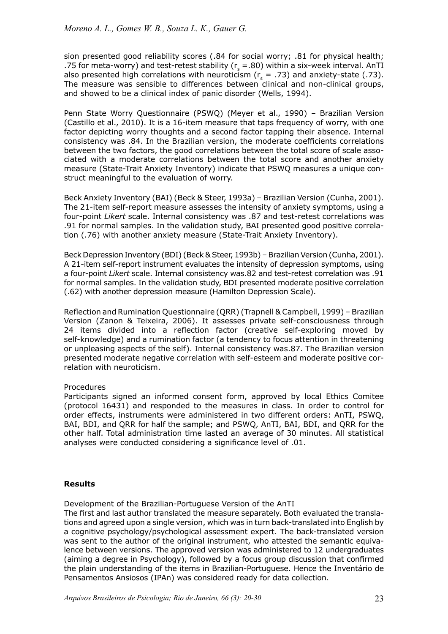sion presented good reliability scores (.84 for social worry; .81 for physical health; .75 for meta-worry) and test-retest stability ( $r_s = .80$ ) within a six-week interval. AnTI also presented high correlations with neuroticism ( $r<sub>s</sub>$  = .73) and anxiety-state (.73). The measure was sensible to differences between clinical and non-clinical groups, and showed to be a clinical index of panic disorder (Wells, 1994).

Penn State Worry Questionnaire (PSWQ) (Meyer et al., 1990) – Brazilian Version (Castillo et al., 2010). It is a 16-item measure that taps frequency of worry, with one factor depicting worry thoughts and a second factor tapping their absence. Internal consistency was .84. In the Brazilian version, the moderate coefficients correlations between the two factors, the good correlations between the total score of scale associated with a moderate correlations between the total score and another anxiety measure (State-Trait Anxiety Inventory) indicate that PSWQ measures a unique construct meaningful to the evaluation of worry.

Beck Anxiety Inventory (BAI) (Beck & Steer, 1993a) – Brazilian Version (Cunha, 2001). The 21-item self-report measure assesses the intensity of anxiety symptoms, using a four-point *Likert* scale. Internal consistency was .87 and test-retest correlations was .91 for normal samples. In the validation study, BAI presented good positive correlation (.76) with another anxiety measure (State-Trait Anxiety Inventory).

Beck Depression Inventory (BDI) (Beck & Steer, 1993b) – Brazilian Version (Cunha, 2001). A 21-item self-report instrument evaluates the intensity of depression symptoms, using a four-point *Likert* scale. Internal consistency was.82 and test-retest correlation was .91 for normal samples. In the validation study, BDI presented moderate positive correlation (.62) with another depression measure (Hamilton Depression Scale).

Reflection and Rumination Questionnaire (QRR) (Trapnell & Campbell, 1999) – Brazilian Version (Zanon & Teixeira, 2006). It assesses private self-consciousness through 24 items divided into a reflection factor (creative self-exploring moved by self-knowledge) and a rumination factor (a tendency to focus attention in threatening or unpleasing aspects of the self). Internal consistency was.87. The Brazilian version presented moderate negative correlation with self-esteem and moderate positive correlation with neuroticism.

# Procedures

Participants signed an informed consent form, approved by local Ethics Comitee (protocol 16431) and responded to the measures in class. In order to control for order effects, instruments were administered in two different orders: AnTI, PSWQ, BAI, BDI, and QRR for half the sample; and PSWQ, AnTI, BAI, BDI, and QRR for the other half. Total administration time lasted an average of 30 minutes. All statistical analyses were conducted considering a significance level of .01.

# **Results**

Development of the Brazilian-Portuguese Version of the AnTI

The first and last author translated the measure separately. Both evaluated the translations and agreed upon a single version, which was in turn back-translated into English by a cognitive psychology/psychological assessment expert. The back-translated version was sent to the author of the original instrument, who attested the semantic equivalence between versions. The approved version was administered to 12 undergraduates (aiming a degree in Psychology), followed by a focus group discussion that confirmed the plain understanding of the items in Brazilian-Portuguese. Hence the Inventário de Pensamentos Ansiosos (IPAn) was considered ready for data collection.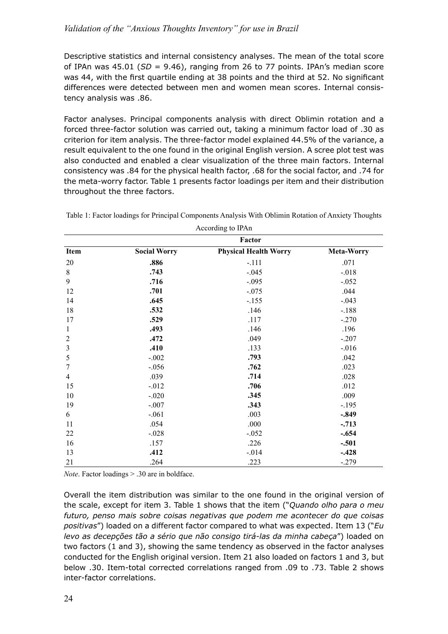Descriptive statistics and internal consistency analyses. The mean of the total score of IPAn was 45.01 (*SD* = 9.46), ranging from 26 to 77 points. IPAn's median score was 44, with the first quartile ending at 38 points and the third at 52. No significant differences were detected between men and women mean scores. Internal consistency analysis was .86.

Factor analyses. Principal components analysis with direct Oblimin rotation and a forced three-factor solution was carried out, taking a minimum factor load of .30 as criterion for item analysis. The three-factor model explained 44.5% of the variance, a result equivalent to the one found in the original English version. A scree plot test was also conducted and enabled a clear visualization of the three main factors. Internal consistency was .84 for the physical health factor, .68 for the social factor, and .74 for the meta-worry factor. Table 1 presents factor loadings per item and their distribution throughout the three factors.

|                  |                     | $1$ recording to $11 \text{ m}$ |                   |  |  |
|------------------|---------------------|---------------------------------|-------------------|--|--|
|                  |                     | Factor                          |                   |  |  |
| Item             | <b>Social Worry</b> | <b>Physical Health Worry</b>    | <b>Meta-Worry</b> |  |  |
| 20               | .886                | $-.111$                         | .071              |  |  |
| $8\,$            | .743                | $-.045$                         | $-.018$           |  |  |
| 9                | .716                | $-.095$                         | $-.052$           |  |  |
| 12               | .701                | $-.075$                         | .044              |  |  |
| 14               | .645                | $-.155$                         | $-.043$           |  |  |
| 18               | .532                | .146                            | $-.188$           |  |  |
| 17               | .529                | .117                            | $-.270$           |  |  |
| $\mathbf{1}$     | .493                | .146                            | .196              |  |  |
| $\overline{2}$   | .472                | .049                            | $-.207$           |  |  |
| $\mathfrak{Z}$   | .410                | .133                            | $-0.016$          |  |  |
| 5                | $-.002$             | .793                            | .042              |  |  |
| $\boldsymbol{7}$ | $-.056$             | .762                            | .023              |  |  |
| $\overline{4}$   | .039                | .714                            | .028              |  |  |
| 15               | $-.012$             | .706                            | .012              |  |  |
| 10               | $-.020$             | .345                            | .009              |  |  |
| 19               | $-.007$             | .343                            | $-.195$           |  |  |
| 6                | $-.061$             | .003                            | $-.849$           |  |  |
| 11               | .054                | .000                            | $-.713$           |  |  |
| 22               | $-.028$             | $-.052$                         | $-.654$           |  |  |
| 16               | .157                | .226                            | $-.501$           |  |  |
| 13               | .412                | $-.014$                         | $-.428$           |  |  |
| 21               | .264                | .223                            | $-.279$           |  |  |

Table 1: Factor loadings for Principal Components Analysis With Oblimin Rotation of Anxiety Thoughts

According to IPAn

*Note*. Factor loadings > .30 are in boldface.

Overall the item distribution was similar to the one found in the original version of the scale, except for item 3. Table 1 shows that the item ("*Quando olho para o meu futuro, penso mais sobre coisas negativas que podem me acontecer do que coisas positivas*") loaded on a different factor compared to what was expected. Item 13 ("*Eu levo as decepções tão a sério que não consigo tirá-las da minha cabeça*") loaded on two factors (1 and 3), showing the same tendency as observed in the factor analyses conducted for the English original version. Item 21 also loaded on factors 1 and 3, but below .30. Item-total corrected correlations ranged from .09 to .73. Table 2 shows inter-factor correlations.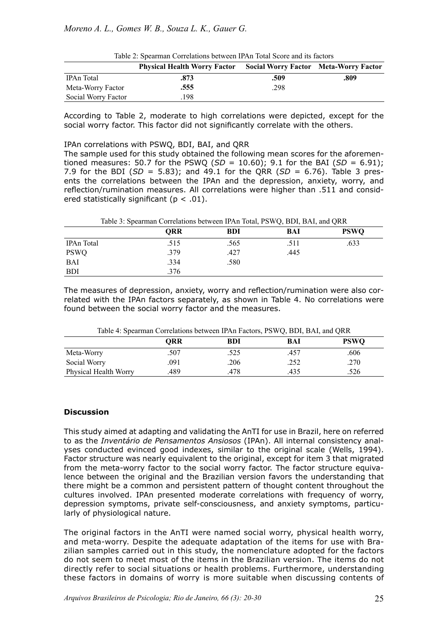| Tuble 2. Spearing Correlations between 117111 Total Seore and no haviols |                                     |                                              |      |  |  |
|--------------------------------------------------------------------------|-------------------------------------|----------------------------------------------|------|--|--|
|                                                                          | <b>Physical Health Worry Factor</b> | <b>Social Worry Factor Meta-Worry Factor</b> |      |  |  |
| IPAn Total                                                               | .873                                | .509                                         | .809 |  |  |
| Meta-Worry Factor                                                        | .555                                | .298                                         |      |  |  |
| Social Worry Factor                                                      | 198                                 |                                              |      |  |  |

| Table 2: Spearman Correlations between IPAn Total Score and its factors |  |  |
|-------------------------------------------------------------------------|--|--|
|-------------------------------------------------------------------------|--|--|

According to Table 2, moderate to high correlations were depicted, except for the social worry factor. This factor did not significantly correlate with the others.

#### IPAn correlations with PSWQ, BDI, BAI, and QRR

The sample used for this study obtained the following mean scores for the aforementioned measures: 50.7 for the PSWQ ( $SD = 10.60$ ); 9.1 for the BAI ( $SD = 6.91$ ); 7.9 for the BDI (*SD* = 5.83); and 49.1 for the QRR (*SD* = 6.76). Table 3 presents the correlations between the IPAn and the depression, anxiety, worry, and reflection/rumination measures. All correlations were higher than .511 and considered statistically significant ( $p < .01$ ).

Table 3: Spearman Correlations between IPAn Total, PSWQ, BDI, BAI, and QRR

|             | <b>QRR</b> | <b>BDI</b> | BAI  | <b>PSWQ</b> |  |
|-------------|------------|------------|------|-------------|--|
| IPAn Total  | .515       | .565       | .511 | .633        |  |
| <b>PSWQ</b> | .379       | .427       | .445 |             |  |
| <b>BAI</b>  | .334       | .580       |      |             |  |
| <b>BDI</b>  | .376       |            |      |             |  |

The measures of depression, anxiety, worry and reflection/rumination were also correlated with the IPAn factors separately, as shown in Table 4. No correlations were found between the social worry factor and the measures.

Table 4: Spearman Correlations between IPAn Factors, PSWQ, BDI, BAI, and QRR

|                       | ORR  | BDI  | BAI  | <b>PSWQ</b> |
|-----------------------|------|------|------|-------------|
| Meta-Worry            | .507 | .525 | .457 | .606        |
| Social Worry          | 091  | 206  | .252 | .270        |
| Physical Health Worry | .489 | .478 | 435  | .526        |

### **Discussion**

This study aimed at adapting and validating the AnTI for use in Brazil, here on referred to as the *Inventário de Pensamentos Ansiosos* (IPAn). All internal consistency analyses conducted evinced good indexes, similar to the original scale (Wells, 1994). Factor structure was nearly equivalent to the original, except for item 3 that migrated from the meta-worry factor to the social worry factor. The factor structure equivalence between the original and the Brazilian version favors the understanding that there might be a common and persistent pattern of thought content throughout the cultures involved. IPAn presented moderate correlations with frequency of worry, depression symptoms, private self-consciousness, and anxiety symptoms, particularly of physiological nature.

The original factors in the AnTI were named social worry, physical health worry, and meta-worry. Despite the adequate adaptation of the items for use with Brazilian samples carried out in this study, the nomenclature adopted for the factors do not seem to meet most of the items in the Brazilian version. The items do not directly refer to social situations or health problems. Furthermore, understanding these factors in domains of worry is more suitable when discussing contents of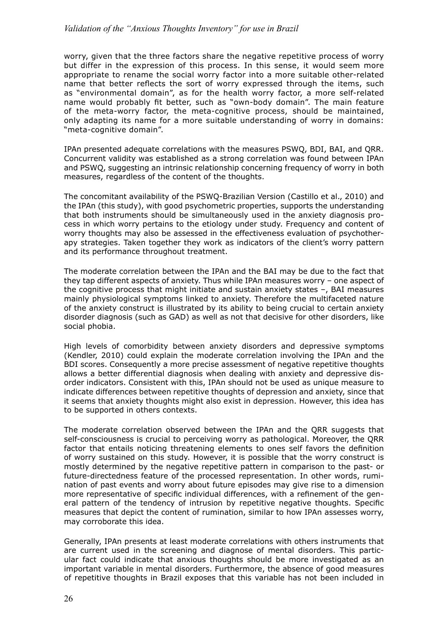worry, given that the three factors share the negative repetitive process of worry but differ in the expression of this process. In this sense, it would seem more appropriate to rename the social worry factor into a more suitable other-related name that better reflects the sort of worry expressed through the items, such as "environmental domain", as for the health worry factor, a more self-related name would probably fit better, such as "own-body domain". The main feature of the meta-worry factor, the meta-cognitive process, should be maintained, only adapting its name for a more suitable understanding of worry in domains: "meta-cognitive domain".

IPAn presented adequate correlations with the measures PSWQ, BDI, BAI, and QRR. Concurrent validity was established as a strong correlation was found between IPAn and PSWQ, suggesting an intrinsic relationship concerning frequency of worry in both measures, regardless of the content of the thoughts.

The concomitant availability of the PSWQ-Brazilian Version (Castillo et al., 2010) and the IPAn (this study), with good psychometric properties, supports the understanding that both instruments should be simultaneously used in the anxiety diagnosis process in which worry pertains to the etiology under study. Frequency and content of worry thoughts may also be assessed in the effectiveness evaluation of psychotherapy strategies. Taken together they work as indicators of the client's worry pattern and its performance throughout treatment.

The moderate correlation between the IPAn and the BAI may be due to the fact that they tap different aspects of anxiety. Thus while IPAn measures worry – one aspect of the cognitive process that might initiate and sustain anxiety states –, BAI measures mainly physiological symptoms linked to anxiety. Therefore the multifaceted nature of the anxiety construct is illustrated by its ability to being crucial to certain anxiety disorder diagnosis (such as GAD) as well as not that decisive for other disorders, like social phobia.

High levels of comorbidity between anxiety disorders and depressive symptoms (Kendler, 2010) could explain the moderate correlation involving the IPAn and the BDI scores. Consequently a more precise assessment of negative repetitive thoughts allows a better differential diagnosis when dealing with anxiety and depressive disorder indicators. Consistent with this, IPAn should not be used as unique measure to indicate differences between repetitive thoughts of depression and anxiety, since that it seems that anxiety thoughts might also exist in depression. However, this idea has to be supported in others contexts.

The moderate correlation observed between the IPAn and the QRR suggests that self-consciousness is crucial to perceiving worry as pathological. Moreover, the QRR factor that entails noticing threatening elements to ones self favors the definition of worry sustained on this study. However, it is possible that the worry construct is mostly determined by the negative repetitive pattern in comparison to the past- or future-directedness feature of the processed representation. In other words, rumination of past events and worry about future episodes may give rise to a dimension more representative of specific individual differences, with a refinement of the general pattern of the tendency of intrusion by repetitive negative thoughts. Specific measures that depict the content of rumination, similar to how IPAn assesses worry, may corroborate this idea.

Generally, IPAn presents at least moderate correlations with others instruments that are current used in the screening and diagnose of mental disorders. This particular fact could indicate that anxious thoughts should be more investigated as an important variable in mental disorders. Furthermore, the absence of good measures of repetitive thoughts in Brazil exposes that this variable has not been included in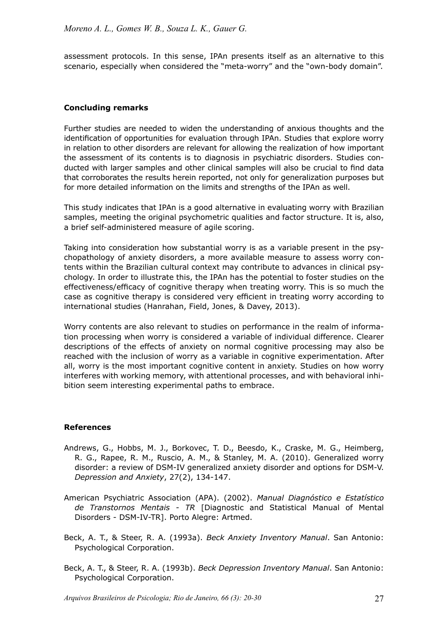assessment protocols. In this sense, IPAn presents itself as an alternative to this scenario, especially when considered the "meta-worry" and the "own-body domain".

# **Concluding remarks**

Further studies are needed to widen the understanding of anxious thoughts and the identification of opportunities for evaluation through IPAn. Studies that explore worry in relation to other disorders are relevant for allowing the realization of how important the assessment of its contents is to diagnosis in psychiatric disorders. Studies conducted with larger samples and other clinical samples will also be crucial to find data that corroborates the results herein reported, not only for generalization purposes but for more detailed information on the limits and strengths of the IPAn as well.

This study indicates that IPAn is a good alternative in evaluating worry with Brazilian samples, meeting the original psychometric qualities and factor structure. It is, also, a brief self-administered measure of agile scoring.

Taking into consideration how substantial worry is as a variable present in the psychopathology of anxiety disorders, a more available measure to assess worry contents within the Brazilian cultural context may contribute to advances in clinical psychology. In order to illustrate this, the IPAn has the potential to foster studies on the effectiveness/efficacy of cognitive therapy when treating worry. This is so much the case as cognitive therapy is considered very efficient in treating worry according to international studies (Hanrahan, Field, Jones, & Davey, 2013).

Worry contents are also relevant to studies on performance in the realm of information processing when worry is considered a variable of individual difference. Clearer descriptions of the effects of anxiety on normal cognitive processing may also be reached with the inclusion of worry as a variable in cognitive experimentation. After all, worry is the most important cognitive content in anxiety. Studies on how worry interferes with working memory, with attentional processes, and with behavioral inhibition seem interesting experimental paths to embrace.

### **References**

- Andrews, G., Hobbs, M. J., Borkovec, T. D., Beesdo, K., Craske, M. G., Heimberg, R. G., Rapee, R. M., Ruscio, A. M., & Stanley, M. A. (2010). Generalized worry disorder: a review of DSM-IV generalized anxiety disorder and options for DSM-V. *Depression and Anxiety*, 27(2), 134-147.
- American Psychiatric Association (APA). (2002). *Manual Diagnóstico e Estatístico de Transtornos Mentais - TR* [Diagnostic and Statistical Manual of Mental Disorders - DSM-IV-TR]. Porto Alegre: Artmed.
- Beck, A. T., & Steer, R. A. (1993a). *Beck Anxiety Inventory Manual*. San Antonio: Psychological Corporation.
- Beck, A. T., & Steer, R. A. (1993b). *Beck Depression Inventory Manual*. San Antonio: Psychological Corporation.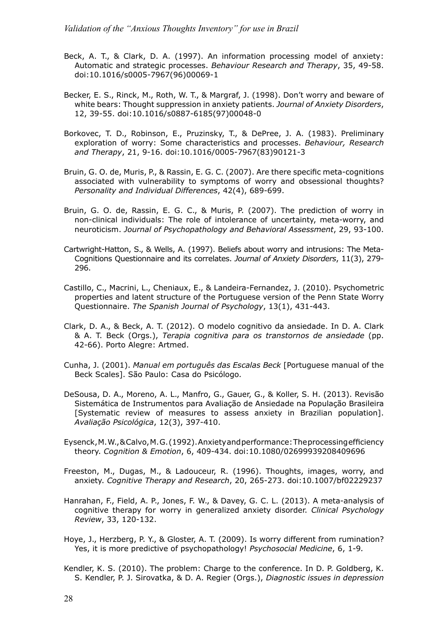- Beck, A. T., & Clark, D. A. (1997). An information processing model of anxiety: Automatic and strategic processes. *Behaviour Research and Therapy*, 35, 49-58. doi:10.1016/s0005-7967(96)00069-1
- Becker, E. S., Rinck, M., Roth, W. T., & Margraf, J. (1998). Don't worry and beware of white bears: Thought suppression in anxiety patients. *Journal of Anxiety Disorders*, 12, 39-55. doi:10.1016/s0887-6185(97)00048-0
- Borkovec, T. D., Robinson, E., Pruzinsky, T., & DePree, J. A. (1983). Preliminary exploration of worry: Some characteristics and processes. *Behaviour, Research and Therapy*, 21, 9-16. doi:10.1016/0005-7967(83)90121-3
- Bruin, G. O. de, Muris, P., & Rassin, E. G. C. (2007). Are there specific meta-cognitions associated with vulnerability to symptoms of worry and obsessional thoughts? *Personality and Individual Differences*, 42(4), 689-699.
- Bruin, G. O. de, Rassin, E. G. C., & Muris, P. (2007). The prediction of worry in non-clinical individuals: The role of intolerance of uncertainty, meta-worry, and neuroticism. *Journal of Psychopathology and Behavioral Assessment*, 29, 93-100.
- Cartwright-Hatton, S., & Wells, A. (1997). Beliefs about worry and intrusions: The Meta-Cognitions Questionnaire and its correlates. *Journal of Anxiety Disorders*, 11(3), 279- 296.
- Castillo, C., Macrini, L., Cheniaux, E., & Landeira-Fernandez, J. (2010). Psychometric properties and latent structure of the Portuguese version of the Penn State Worry Questionnaire. *The Spanish Journal of Psychology*, 13(1), 431-443.
- Clark, D. A., & Beck, A. T. (2012). O modelo cognitivo da ansiedade. In D. A. Clark & A. T. Beck (Orgs.), *Terapia cognitiva para os transtornos de ansiedade* (pp. 42-66). Porto Alegre: Artmed.
- Cunha, J. (2001). *Manual em português das Escalas Beck* [Portuguese manual of the Beck Scales]. São Paulo: Casa do Psicólogo.
- DeSousa, D. A., Moreno, A. L., Manfro, G., Gauer, G., & Koller, S. H. (2013). Revisão Sistemática de Instrumentos para Avaliação de Ansiedade na População Brasileira [Systematic review of measures to assess anxiety in Brazilian population]. *Avaliação Psicológica*, 12(3), 397-410.
- Eysenck, M. W., & Calvo, M. G. (1992). Anxiety and performance: The processing efficiency theory. *Cognition & Emotion*, 6, 409-434. doi:10.1080/02699939208409696
- Freeston, M., Dugas, M., & Ladouceur, R. (1996). Thoughts, images, worry, and anxiety. *Cognitive Therapy and Research*, 20, 265-273. doi:10.1007/bf02229237
- Hanrahan, F., Field, A. P., Jones, F. W., & Davey, G. C. L. (2013). A meta-analysis of cognitive therapy for worry in generalized anxiety disorder. *Clinical Psychology Review*, 33, 120-132.
- Hoye, J., Herzberg, P. Y., & Gloster, A. T. (2009). Is worry different from rumination? Yes, it is more predictive of psychopathology! *Psychosocial Medicine*, 6, 1-9*.*
- Kendler, K. S. (2010). The problem: Charge to the conference. In D. P. Goldberg, K. S. Kendler, P. J. Sirovatka, & D. A. Regier (Orgs.), *Diagnostic issues in depression*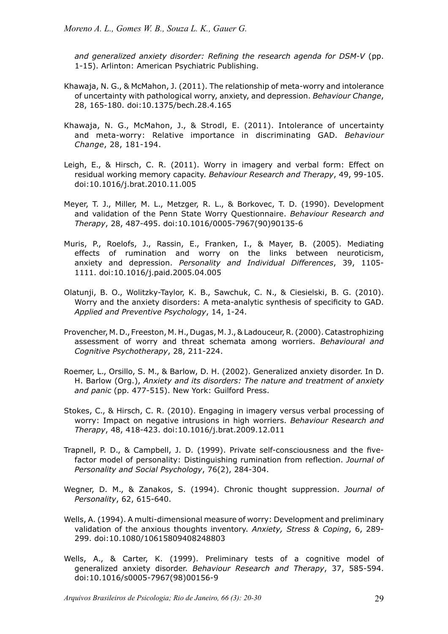*and generalized anxiety disorder: Refining the research agenda for DSM-V* (pp. 1-15). Arlinton: American Psychiatric Publishing.

- Khawaja, N. G., & McMahon, J. (2011). The relationship of meta-worry and intolerance of uncertainty with pathological worry, anxiety, and depression. *Behaviour Change*, 28, 165-180. doi:10.1375/bech.28.4.165
- Khawaja, N. G., McMahon, J., & Strodl, E. (2011). Intolerance of uncertainty and meta-worry: Relative importance in discriminating GAD. *Behaviour Change*, 28, 181-194.
- Leigh, E., & Hirsch, C. R. (2011). Worry in imagery and verbal form: Effect on residual working memory capacity. *Behaviour Research and Therapy*, 49, 99-105. doi:10.1016/j.brat.2010.11.005
- Meyer, T. J., Miller, M. L., Metzger, R. L., & Borkovec, T. D. (1990). Development and validation of the Penn State Worry Questionnaire. *Behaviour Research and Therapy*, 28, 487-495. doi:10.1016/0005-7967(90)90135-6
- Muris, P., Roelofs, J., Rassin, E., Franken, I., & Mayer, B. (2005). Mediating effects of rumination and worry on the links between neuroticism, anxiety and depression. *Personality and Individual Differences*, 39, 1105- 1111. doi:10.1016/j.paid.2005.04.005
- Olatunji, B. O., Wolitzky-Taylor, K. B., Sawchuk, C. N., & Ciesielski, B. G. (2010). Worry and the anxiety disorders: A meta-analytic synthesis of specificity to GAD. *Applied and Preventive Psychology*, 14, 1-24.
- Provencher, M. D., Freeston, M. H., Dugas, M. J., & Ladouceur, R. (2000). Catastrophizing assessment of worry and threat schemata among worriers. *Behavioural and Cognitive Psychotherapy*, 28, 211-224.
- Roemer, L., Orsillo, S. M., & Barlow, D. H. (2002). Generalized anxiety disorder. In D. H. Barlow (Org.), *Anxiety and its disorders: The nature and treatment of anxiety and panic* (pp. 477-515). New York: Guilford Press.
- Stokes, C., & Hirsch, C. R. (2010). Engaging in imagery versus verbal processing of worry: Impact on negative intrusions in high worriers. *Behaviour Research and Therapy*, 48, 418-423. doi:10.1016/j.brat.2009.12.011
- Trapnell, P. D., & Campbell, J. D. (1999). Private self-consciousness and the fivefactor model of personality: Distinguishing rumination from reflection. *Journal of Personality and Social Psychology*, 76(2), 284-304.
- Wegner, D. M., & Zanakos, S. (1994). Chronic thought suppression. *Journal of Personality*, 62, 615-640.
- Wells, A. (1994). A multi-dimensional measure of worry: Development and preliminary validation of the anxious thoughts inventory. *Anxiety, Stress & Coping*, 6, 289- 299. doi:10.1080/10615809408248803
- Wells, A., & Carter, K. (1999). Preliminary tests of a cognitive model of generalized anxiety disorder. *Behaviour Research and Therapy*, 37, 585-594. doi:10.1016/s0005-7967(98)00156-9